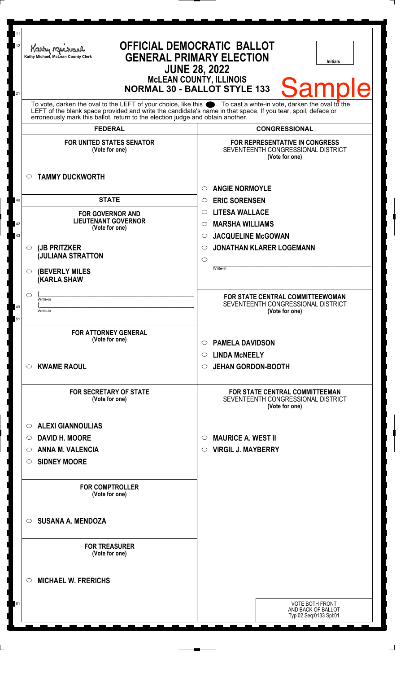| 11<br>12<br>21 | Kathy Michael<br>Kathy Michael, McLean County Clerk                                                                                                                                                                                                                                                                          | <b>OFFICIAL DEMOCRATIC BALLOT</b><br><b>GENERAL PRIMARY ELECTION</b><br><b>Initials</b><br><b>JUNE 28, 2022</b><br><b>MCLEAN COUNTY, ILLINOIS</b><br><b>Sample</b><br><b>NORMAL 30 - BALLOT STYLE 133</b> |
|----------------|------------------------------------------------------------------------------------------------------------------------------------------------------------------------------------------------------------------------------------------------------------------------------------------------------------------------------|-----------------------------------------------------------------------------------------------------------------------------------------------------------------------------------------------------------|
|                | To vote, darken the oval to the LEFT of your choice, like this $\bullet$ . To cast a write-in vote, darken the oval to the<br>LEFT of the blank space provided and write the candidate's name in that space. If you tear, spoil, deface or<br>erroneously mark this ballot, return to the election judge and obtain another. |                                                                                                                                                                                                           |
|                | <b>FEDERAL</b>                                                                                                                                                                                                                                                                                                               | <b>CONGRESSIONAL</b>                                                                                                                                                                                      |
|                | <b>FOR UNITED STATES SENATOR</b><br>(Vote for one)                                                                                                                                                                                                                                                                           | <b>FOR REPRESENTATIVE IN CONGRESS</b><br>SEVENTEENTH CONGRESSIONAL DISTRICT<br>(Vote for one)                                                                                                             |
|                | <b>TAMMY DUCKWORTH</b><br>$\circ$                                                                                                                                                                                                                                                                                            | <b>ANGIE NORMOYLE</b><br>$\circ$                                                                                                                                                                          |
| 40             | <b>STATE</b>                                                                                                                                                                                                                                                                                                                 | <b>ERIC SORENSEN</b><br>$\circ$                                                                                                                                                                           |
|                | <b>FOR GOVERNOR AND</b><br><b>LIEUTENANT GOVERNOR</b>                                                                                                                                                                                                                                                                        | <b>LITESA WALLACE</b><br>$\circ$                                                                                                                                                                          |
| 42<br>43       | (Vote for one)                                                                                                                                                                                                                                                                                                               | <b>MARSHA WILLIAMS</b><br>$\circ$<br>$\circ$                                                                                                                                                              |
|                | (JB PRITZKER<br>$\circ$                                                                                                                                                                                                                                                                                                      | <b>JACQUELINE McGOWAN</b><br><b>JONATHAN KLARER LOGEMANN</b><br>◯                                                                                                                                         |
|                | <b>JULIANA STRATTON</b>                                                                                                                                                                                                                                                                                                      | $\circ$                                                                                                                                                                                                   |
|                | <b>(BEVERLY MILES)</b><br>O<br><b>(KARLA SHAW</b>                                                                                                                                                                                                                                                                            | Write-in                                                                                                                                                                                                  |
|                | O<br>Write-in                                                                                                                                                                                                                                                                                                                | FOR STATE CENTRAL COMMITTEEWOMAN                                                                                                                                                                          |
| 49<br>51       | Write-in                                                                                                                                                                                                                                                                                                                     | SEVENTEENTH CONGRESSIONAL DISTRICT<br>(Vote for one)                                                                                                                                                      |
|                | <b>FOR ATTORNEY GENERAL</b>                                                                                                                                                                                                                                                                                                  |                                                                                                                                                                                                           |
|                | (Vote for one)                                                                                                                                                                                                                                                                                                               | <b>PAMELA DAVIDSON</b><br>$\circ$                                                                                                                                                                         |
|                |                                                                                                                                                                                                                                                                                                                              | <b>LINDA MCNEELY</b><br>$\circ$                                                                                                                                                                           |
|                | <b>KWAME RAOUL</b><br>O                                                                                                                                                                                                                                                                                                      | <b>JEHAN GORDON-BOOTH</b><br>$\circ$                                                                                                                                                                      |
|                | <b>FOR SECRETARY OF STATE</b><br>(Vote for one)                                                                                                                                                                                                                                                                              | <b>FOR STATE CENTRAL COMMITTEEMAN</b><br>SEVENTEENTH CONGRESSIONAL DISTRICT<br>(Vote for one)                                                                                                             |
|                | <b>ALEXI GIANNOULIAS</b><br>$\circ$                                                                                                                                                                                                                                                                                          |                                                                                                                                                                                                           |
|                | <b>DAVID H. MOORE</b><br>$\circ$                                                                                                                                                                                                                                                                                             | <b>MAURICE A. WEST II</b><br>$\circlearrowright$                                                                                                                                                          |
|                | <b>ANNA M. VALENCIA</b><br>$\circ$                                                                                                                                                                                                                                                                                           | <b>VIRGIL J. MAYBERRY</b><br>$\circ$                                                                                                                                                                      |
|                | <b>SIDNEY MOORE</b><br>O                                                                                                                                                                                                                                                                                                     |                                                                                                                                                                                                           |
|                | <b>FOR COMPTROLLER</b><br>(Vote for one)                                                                                                                                                                                                                                                                                     |                                                                                                                                                                                                           |
|                | <b>SUSANA A. MENDOZA</b><br>$\circ$                                                                                                                                                                                                                                                                                          |                                                                                                                                                                                                           |
|                | <b>FOR TREASURER</b><br>(Vote for one)                                                                                                                                                                                                                                                                                       |                                                                                                                                                                                                           |
|                | <b>MICHAEL W. FRERICHS</b><br>$\circ$                                                                                                                                                                                                                                                                                        |                                                                                                                                                                                                           |
| 61             |                                                                                                                                                                                                                                                                                                                              | <b>VOTE BOTH FRONT</b><br>AND BACK OF BALLOT<br>Typ:02 Seq:0133 Spl:01                                                                                                                                    |